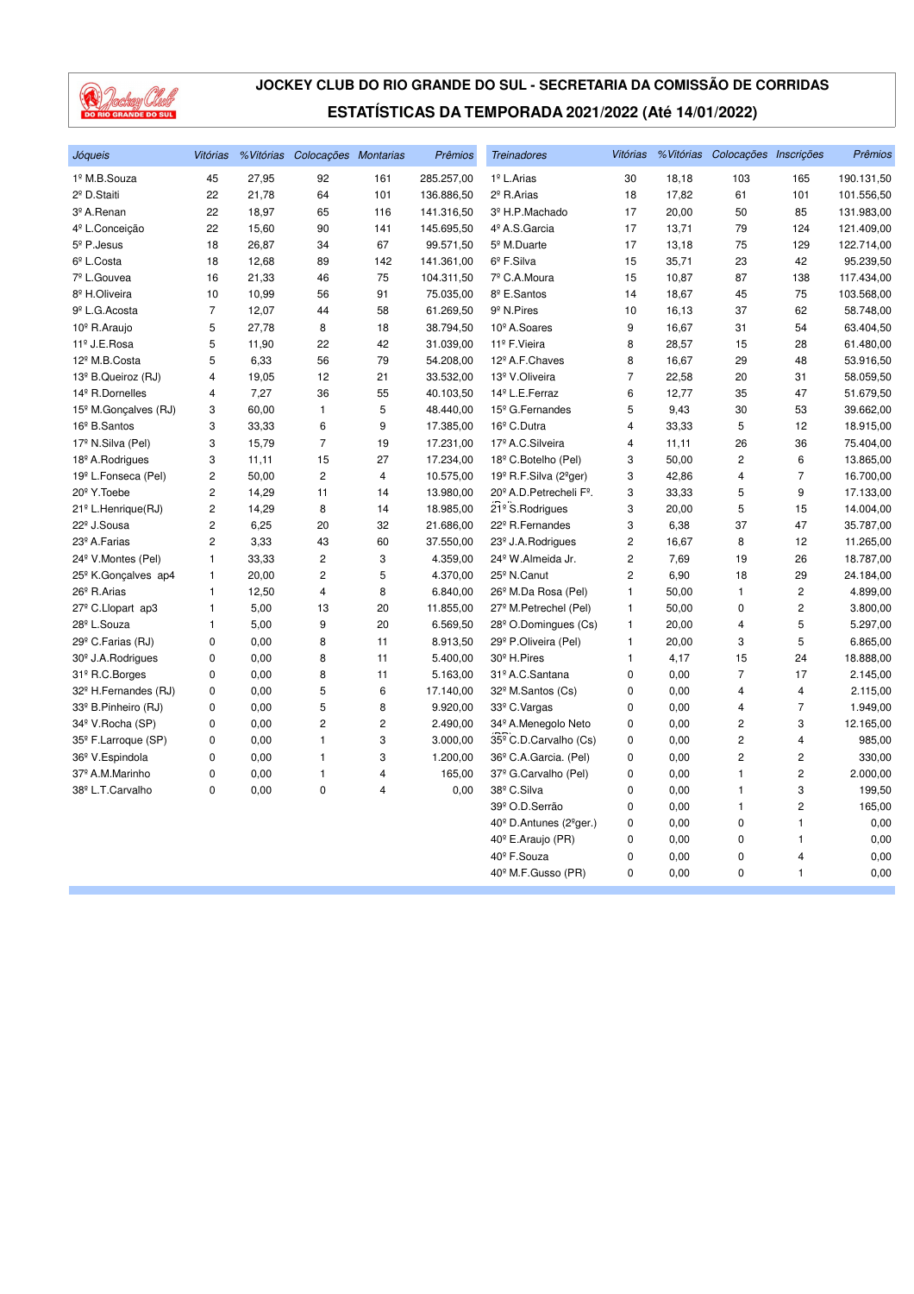

| Jóqueis                          | <b>Vitórias</b> |       | %Vitórias Colocações Montarias |                | Prêmios    | <b>Treinadores</b>                               | <b>Vitórias</b> |       | % Vitórias Colocações Inscrições |                         | Prêmios    |
|----------------------------------|-----------------|-------|--------------------------------|----------------|------------|--------------------------------------------------|-----------------|-------|----------------------------------|-------------------------|------------|
| 1º M.B.Souza                     | 45              | 27,95 | 92                             | 161            | 285.257,00 | 1º L.Arias                                       | 30              | 18,18 | 103                              | 165                     | 190.131,50 |
| 2 <sup>º</sup> D.Staiti          | 22              | 21,78 | 64                             | 101            | 136.886,50 | 2 <sup>º</sup> R.Arias                           | 18              | 17,82 | 61                               | 101                     | 101.556,50 |
| 3º A.Renan                       | 22              | 18,97 | 65                             | 116            | 141.316,50 | 3º H.P.Machado                                   | 17              | 20,00 | 50                               | 85                      | 131.983,00 |
| 4º L.Conceição                   | 22              | 15,60 | 90                             | 141            | 145.695,50 | 4º A.S. Garcia                                   | 17              | 13,71 | 79                               | 124                     | 121.409,00 |
| $5°$ P. Jesus                    | 18              | 26,87 | 34                             | 67             | 99.571,50  | 5 <sup>º</sup> M.Duarte                          | 17              | 13,18 | 75                               | 129                     | 122.714,00 |
| 6º L.Costa                       | 18              | 12,68 | 89                             | 142            | 141.361,00 | $6^{\circ}$ F.Silva                              | 15              | 35,71 | 23                               | 42                      | 95.239,50  |
| 7º L.Gouvea                      | 16              | 21,33 | 46                             | 75             | 104.311,50 | 7º C.A.Moura                                     | 15              | 10,87 | 87                               | 138                     | 117.434,00 |
| 8 <sup>º</sup> H.Oliveira        | 10              | 10,99 | 56                             | 91             | 75.035,00  | 8 <sup>º</sup> E.Santos                          | 14              | 18,67 | 45                               | 75                      | 103.568,00 |
| 9 <sup>º</sup> L.G. Acosta       | 7               | 12,07 | 44                             | 58             | 61.269,50  | 9 <sup>º</sup> N.Pires                           | 10              | 16,13 | 37                               | 62                      | 58.748,00  |
| 10 <sup>°</sup> R.Araujo         | 5               | 27,78 | 8                              | 18             | 38.794,50  | 10 <sup>°</sup> A.Soares                         | 9               | 16,67 | 31                               | 54                      | 63.404,50  |
| 11º J.E.Rosa                     | 5               | 11,90 | 22                             | 42             | 31.039,00  | 11º F. Vieira                                    | 8               | 28,57 | 15                               | 28                      | 61.480,00  |
| 12 <sup>º</sup> M.B.Costa        | 5               | 6,33  | 56                             | 79             | 54.208,00  | 12 <sup>º</sup> A.F.Chaves                       | 8               | 16,67 | 29                               | 48                      | 53.916,50  |
| 13º B.Queiroz (RJ)               | 4               | 19,05 | 12                             | 21             | 33.532,00  | 13º V.Oliveira                                   | $\overline{7}$  | 22,58 | 20                               | 31                      | 58.059,50  |
| 14 <sup>°</sup> R.Dornelles      | 4               | 7,27  | 36                             | 55             | 40.103,50  | 14 <sup>º</sup> L.E.Ferraz                       | 6               | 12,77 | 35                               | 47                      | 51.679,50  |
| 15 <sup>°</sup> M.Gonçalves (RJ) | 3               | 60,00 | $\mathbf{1}$                   | 5              | 48.440,00  | 15 <sup>°</sup> G.Fernandes                      | 5               | 9,43  | 30                               | 53                      | 39.662,00  |
| 16 <sup>°</sup> B.Santos         | 3               | 33,33 | 6                              | 9              | 17.385,00  | 16 <sup>°</sup> C.Dutra                          | 4               | 33,33 | 5                                | 12                      | 18.915,00  |
| 17 <sup>º</sup> N.Silva (Pel)    | 3               | 15,79 | $\overline{7}$                 | 19             | 17.231,00  | 17º A.C.Silveira                                 | 4               | 11,11 | 26                               | 36                      | 75.404,00  |
| 18 <sup>°</sup> A.Rodrigues      | 3               | 11,11 | 15                             | 27             | 17.234,00  | 18 <sup>°</sup> C.Botelho (Pel)                  | 3               | 50,00 | $\overline{c}$                   | 6                       | 13.865,00  |
| 19 <sup>º</sup> L.Fonseca (Pel)  | 2               | 50,00 | $\overline{c}$                 | $\overline{4}$ | 10.575,00  | 19 <sup>°</sup> R.F.Silva (2 <sup>°</sup> ger)   | 3               | 42,86 | 4                                | 7                       | 16.700,00  |
| 20 <sup>°</sup> Y. Toebe         | 2               | 14,29 | 11                             | 14             | 13.980,00  | 20 <sup>°</sup> A.D. Petrecheli F <sup>°</sup> . | 3               | 33,33 | 5                                | 9                       | 17.133,00  |
| 21 <sup>°</sup> L.Henrique(RJ)   | $\overline{c}$  | 14,29 | 8                              | 14             | 18.985,00  | 21º S.Rodrigues                                  | 3               | 20,00 | 5                                | 15                      | 14.004,00  |
| 22 <sup>°</sup> J.Sousa          | 2               | 6,25  | 20                             | 32             | 21.686,00  | 22 <sup>°</sup> R.Fernandes                      | 3               | 6,38  | 37                               | 47                      | 35.787,00  |
| 23º A. Farias                    | $\overline{2}$  | 3,33  | 43                             | 60             | 37.550,00  | 23 <sup>°</sup> J.A.Rodrigues                    | 2               | 16,67 | 8                                | 12                      | 11.265,00  |
| 24 <sup>°</sup> V.Montes (Pel)   | 1               | 33,33 | $\overline{c}$                 | 3              | 4.359,00   | 24 <sup>°</sup> W.Almeida Jr.                    | $\overline{c}$  | 7,69  | 19                               | 26                      | 18.787,00  |
| 25 <sup>°</sup> K.Gonçalves ap4  | 1               | 20,00 | $\overline{c}$                 | 5              | 4.370,00   | 25 <sup>°</sup> N.Canut                          | 2               | 6,90  | 18                               | 29                      | 24.184,00  |
| 26 <sup>°</sup> R.Arias          | 1               | 12,50 | $\overline{4}$                 | 8              | 6.840,00   | 26 <sup>°</sup> M.Da Rosa (Pel)                  | $\mathbf{1}$    | 50,00 | $\mathbf{1}$                     | $\overline{c}$          | 4.899,00   |
| 27 <sup>°</sup> C.Llopart ap3    | 1               | 5,00  | 13                             | 20             | 11.855,00  | 27 <sup>°</sup> M.Petrechel (Pel)                | 1               | 50,00 | 0                                | $\overline{\mathbf{c}}$ | 3.800,00   |
| 28º L.Souza                      | 1               | 5,00  | 9                              | 20             | 6.569,50   | 28 <sup>°</sup> O.Domingues (Cs)                 | 1               | 20,00 | $\overline{4}$                   | 5                       | 5.297,00   |
| 29 <sup>°</sup> C.Farias (RJ)    | 0               | 0.00  | 8                              | 11             | 8.913,50   | 29 <sup>°</sup> P.Oliveira (Pel)                 | 1               | 20,00 | 3                                | 5                       | 6.865,00   |
| 30 <sup>°</sup> J.A.Rodrigues    | 0               | 0,00  | 8                              | 11             | 5.400,00   | 30 <sup>°</sup> H.Pires                          | 1               | 4,17  | 15                               | 24                      | 18.888,00  |
| 31º R.C.Borges                   | 0               | 0,00  | 8                              | 11             | 5.163,00   | 31º A.C. Santana                                 | 0               | 0,00  | $\overline{7}$                   | 17                      | 2.145,00   |
| 32 <sup>°</sup> H.Fernandes (RJ) | 0               | 0,00  | 5                              | 6              | 17.140,00  | 32º M.Santos (Cs)                                | 0               | 0,00  | $\overline{4}$                   | 4                       | 2.115,00   |
| 33º B.Pinheiro (RJ)              | 0               | 0,00  | 5                              | 8              | 9.920,00   | 33º C.Vargas                                     | 0               | 0,00  | 4                                | $\overline{7}$          | 1.949,00   |
| 34º V.Rocha (SP)                 | 0               | 0,00  | $\overline{c}$                 | 2              | 2.490,00   | 34º A.Menegolo Neto                              | 0               | 0,00  | 2                                | 3                       | 12.165,00  |
| 35 <sup>°</sup> F.Larroque (SP)  | $\mathbf 0$     | 0,00  | $\mathbf{1}$                   | 3              | 3.000,00   | 35 <sup>º</sup> C.D.Carvalho (Cs)                | 0               | 0,00  | $\overline{c}$                   | 4                       | 985,00     |
| 36 <sup>º</sup> V.Espindola      | 0               | 0,00  | $\mathbf{1}$                   | 3              | 1.200,00   | 36 <sup>°</sup> C.A.Garcia. (Pel)                | 0               | 0,00  | $\overline{c}$                   | 2                       | 330,00     |
| 37º A.M.Marinho                  | 0               | 0,00  | $\mathbf{1}$                   | 4              | 165,00     | 37º G.Carvalho (Pel)                             | 0               | 0,00  | 1                                | 2                       | 2.000,00   |
| 38º L.T.Carvalho                 | 0               | 0,00  | $\mathbf 0$                    | 4              | 0.00       | 38º C.Silva                                      | 0               | 0,00  | $\mathbf{1}$                     | 3                       | 199,50     |
|                                  |                 |       |                                |                |            | 39º O.D.Serrão                                   | 0               | 0,00  | $\mathbf{1}$                     | 2                       | 165,00     |
|                                  |                 |       |                                |                |            | 40 <sup>°</sup> D.Antunes (2 <sup>°</sup> ger.)  | 0               | 0,00  | 0                                | 1                       | 0,00       |
|                                  |                 |       |                                |                |            | 40 <sup>°</sup> E.Araujo (PR)                    | 0               | 0,00  | 0                                | 1                       | 0,00       |
|                                  |                 |       |                                |                |            | 40 <sup>°</sup> F.Souza                          | 0               | 0,00  | 0                                | 4                       | 0,00       |
|                                  |                 |       |                                |                |            | 40 <sup>°</sup> M.F.Gusso (PR)                   | 0               | 0,00  | 0                                | 1                       | 0,00       |
|                                  |                 |       |                                |                |            |                                                  |                 |       |                                  |                         |            |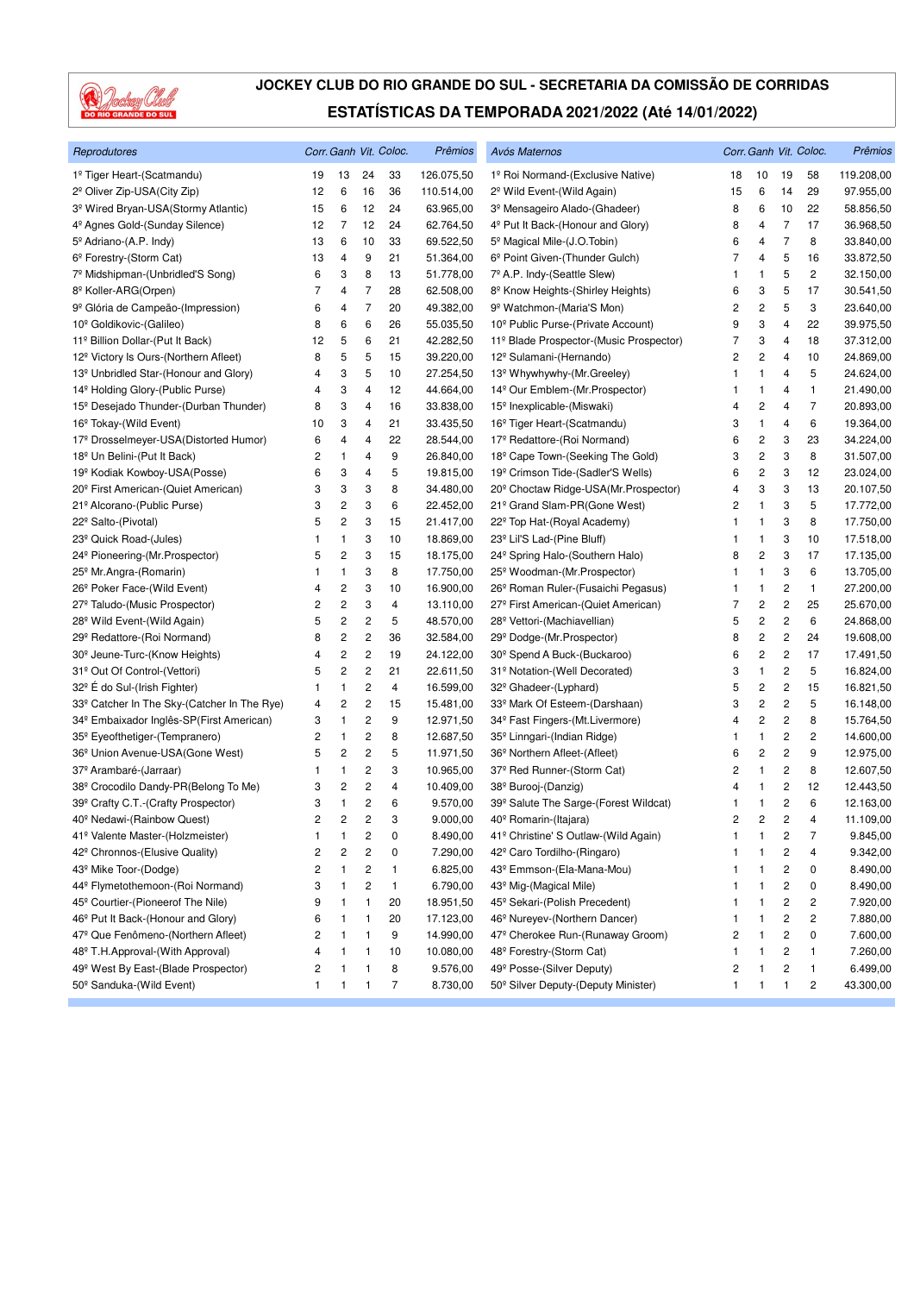

| Reprodutores                                            |                |    |                         | Corr. Ganh Vit. Coloc. | <b>Prêmios</b> | Avós Maternos                                    |    |                         |                         | Corr. Ganh Vit. Coloc.  | Prêmios    |
|---------------------------------------------------------|----------------|----|-------------------------|------------------------|----------------|--------------------------------------------------|----|-------------------------|-------------------------|-------------------------|------------|
| 1º Tiger Heart-(Scatmandu)                              | 19             | 13 | 24                      | 33                     | 126.075,50     | 1º Roi Normand-(Exclusive Native)                | 18 | 10                      | 19                      | 58                      | 119.208,00 |
| 2 <sup>º</sup> Oliver Zip-USA(City Zip)                 | 12             | 6  | 16                      | 36                     | 110.514,00     | 2 <sup>°</sup> Wild Event-(Wild Again)           | 15 | 6                       | 14                      | 29                      | 97.955,00  |
| 3 <sup>º</sup> Wired Bryan-USA(Stormy Atlantic)         | 15             | 6  | 12                      | 24                     | 63.965,00      | 3 <sup>º</sup> Mensageiro Alado-(Ghadeer)        | 8  | 6                       | 10                      | 22                      | 58.856,50  |
| 4 <sup>°</sup> Agnes Gold-(Sunday Silence)              | 12             | 7  | 12                      | 24                     | 62.764,50      | 4 <sup>º</sup> Put It Back-(Honour and Glory)    | 8  | 4                       | 7                       | 17                      | 36.968,50  |
| 5º Adriano-(A.P. Indy)                                  | 13             | 6  | 10                      | 33                     | 69.522,50      | 5 <sup>°</sup> Magical Mile-(J.O.Tobin)          | 6  | 4                       | $\overline{7}$          | 8                       | 33.840,00  |
| 6 <sup>°</sup> Forestry-(Storm Cat)                     | 13             | 4  | 9                       | 21                     | 51.364,00      | 6 <sup>°</sup> Point Given-(Thunder Gulch)       | 7  | 4                       | 5                       | 16                      | 33.872,50  |
| 7º Midshipman-(Unbridled'S Song)                        | 6              | 3  | 8                       | 13                     | 51.778,00      | 7º A.P. Indy-(Seattle Slew)                      | 1  | $\mathbf{1}$            | 5                       | 2                       | 32.150,00  |
| 8 <sup>º</sup> Koller-ARG(Orpen)                        | 7              | 4  | 7                       | 28                     | 62.508,00      | 8 <sup>º</sup> Know Heights-(Shirley Heights)    | 6  | 3                       | 5                       | 17                      | 30.541,50  |
| 9 <sup>º</sup> Glória de Campeão-(Impression)           | 6              | 4  | 7                       | 20                     | 49.382,00      | 9 <sup>º</sup> Watchmon-(Maria'S Mon)            | 2  | $\overline{\mathbf{c}}$ | 5                       | 3                       | 23.640,00  |
| 10 <sup>°</sup> Goldikovic-(Galileo)                    | 8              | 6  | 6                       | 26                     | 55.035,50      | 10 <sup>°</sup> Public Purse-(Private Account)   | 9  | 3                       | 4                       | 22                      | 39.975,50  |
| 11º Billion Dollar-(Put It Back)                        | 12             | 5  | 6                       | 21                     | 42.282,50      | 11º Blade Prospector-(Music Prospector)          | 7  | 3                       | 4                       | 18                      | 37.312,00  |
| 12 <sup>°</sup> Victory Is Ours-(Northern Afleet)       | 8              | 5  | 5                       | 15                     | 39.220,00      | 12º Sulamani-(Hernando)                          | 2  | 2                       | 4                       | 10                      | 24.869,00  |
| 13 <sup>º</sup> Unbridled Star-(Honour and Glory)       | 4              | 3  | 5                       | 10                     | 27.254,50      | 13 <sup>°</sup> Whywhywhy-(Mr.Greeley)           | 1  | 1                       | 4                       | 5                       | 24.624,00  |
| 14 <sup>°</sup> Holding Glory-(Public Purse)            | 4              | 3  | 4                       | 12                     | 44.664,00      | 14 <sup>°</sup> Our Emblem-(Mr. Prospector)      | 1  | $\mathbf{1}$            | 4                       | 1                       | 21.490,00  |
| 15 <sup>°</sup> Desejado Thunder-(Durban Thunder)       | 8              | 3  | 4                       | 16                     | 33.838,00      | 15 <sup>°</sup> Inexplicable-(Miswaki)           | 4  | 2                       | 4                       | 7                       | 20.893,00  |
| 16 <sup>°</sup> Tokay-(Wild Event)                      | 10             | 3  | 4                       | 21                     | 33.435,50      | 16 <sup>°</sup> Tiger Heart-(Scatmandu)          | 3  | $\mathbf{1}$            | 4                       | 6                       | 19.364,00  |
| 17º Drosselmeyer-USA(Distorted Humor)                   | 6              | 4  | 4                       | 22                     | 28.544,00      | 17º Redattore-(Roi Normand)                      | 6  | $\overline{\mathbf{c}}$ | 3                       | 23                      | 34.224,00  |
| 18 <sup>°</sup> Un Belini-(Put It Back)                 | 2              | 1  | 4                       | 9                      | 26.840,00      | 18 <sup>°</sup> Cape Town-(Seeking The Gold)     | 3  | 2                       | 3                       | 8                       | 31.507,00  |
| 19 <sup>°</sup> Kodiak Kowboy-USA(Posse)                | 6              | 3  | 4                       | 5                      | 19.815,00      | 19º Crimson Tide-(Sadler'S Wells)                | 6  | 2                       | 3                       | 12                      | 23.024,00  |
| 20 <sup>°</sup> First American-(Quiet American)         | 3              | 3  | 3                       | 8                      | 34.480,00      | 20 <sup>°</sup> Choctaw Ridge-USA(Mr.Prospector) | 4  | 3                       | 3                       | 13                      | 20.107,50  |
| 21º Alcorano-(Public Purse)                             | 3              | 2  | 3                       | 6                      | 22.452,00      | 21º Grand Slam-PR(Gone West)                     | 2  | $\mathbf{1}$            | 3                       | 5                       | 17.772,00  |
| 22º Salto-(Pivotal)                                     | 5              | 2  | 3                       | 15                     | 21.417,00      | 22 <sup>°</sup> Top Hat-(Royal Academy)          | 1  | $\mathbf{1}$            | 3                       | 8                       | 17.750,00  |
| 23 <sup>°</sup> Quick Road-(Jules)                      | 1              | 1  | 3                       | 10                     | 18.869,00      | 23 <sup>°</sup> Lil'S Lad-(Pine Bluff)           | 1  | $\mathbf{1}$            | 3                       | 10                      | 17.518,00  |
| 24 <sup>°</sup> Pioneering-(Mr.Prospector)              | 5              | 2  | 3                       | 15                     | 18.175,00      | 24 <sup>°</sup> Spring Halo-(Southern Halo)      | 8  | $\overline{\mathbf{c}}$ | 3                       | 17                      | 17.135,00  |
| 25 <sup>°</sup> Mr.Angra-(Romarin)                      | 1              | 1  | 3                       | 8                      | 17.750,00      | 25 <sup>°</sup> Woodman-(Mr.Prospector)          | 1  | 1                       | 3                       | 6                       | 13.705,00  |
| 26 <sup>°</sup> Poker Face-(Wild Event)                 | 4              | 2  | 3                       | 10                     | 16.900,00      | 26 <sup>°</sup> Roman Ruler-(Fusaichi Pegasus)   | 1  | $\mathbf{1}$            | $\overline{c}$          | 1                       | 27.200,00  |
| 27º Taludo-(Music Prospector)                           | 2              | 2  | 3                       | 4                      | 13.110,00      | 27º First American-(Quiet American)              | 7  | $\overline{c}$          | $\overline{c}$          | 25                      | 25.670,00  |
| 28 <sup>°</sup> Wild Event-(Wild Again)                 | 5              | 2  | 2                       | 5                      | 48.570,00      | 28 <sup>°</sup> Vettori-(Machiavellian)          | 5  | 2                       | $\overline{c}$          | 6                       | 24.868,00  |
| 29 <sup>°</sup> Redattore-(Roi Normand)                 | 8              | 2  | 2                       | 36                     | 32.584,00      | 29 <sup>°</sup> Dodge-(Mr.Prospector)            | 8  | 2                       | 2                       | 24                      | 19.608,00  |
| 30 <sup>°</sup> Jeune-Turc-(Know Heights)               | 4              | 2  | 2                       | 19                     | 24.122,00      | 30 <sup>°</sup> Spend A Buck-(Buckaroo)          | 6  | 2                       | $\overline{\mathbf{c}}$ | 17                      | 17.491,50  |
| 31º Out Of Control-(Vettori)                            | 5              | 2  | $\overline{c}$          | 21                     | 22.611,50      | 31º Notation-(Well Decorated)                    | 3  | $\mathbf{1}$            | $\overline{\mathbf{c}}$ | 5                       | 16.824,00  |
| 32 <sup>°</sup> E do Sul-(Irish Fighter)                | 1              | 1  | $\overline{\mathbf{c}}$ | 4                      | 16.599,00      | 32 <sup>°</sup> Ghadeer-(Lyphard)                | 5  | 2                       | $\overline{c}$          | 15                      | 16.821,50  |
| 33 <sup>°</sup> Catcher In The Sky-(Catcher In The Rye) | 4              | 2  | 2                       | 15                     | 15.481,00      | 33º Mark Of Esteem-(Darshaan)                    | 3  | 2                       | $\overline{\mathbf{c}}$ | 5                       | 16.148,00  |
| 34 <sup>°</sup> Embaixador Inglês-SP(First American)    | 3              | 1  | $\overline{\mathbf{c}}$ | 9                      | 12.971,50      | 34 <sup>°</sup> Fast Fingers-(Mt.Livermore)      | 4  | 2                       | $\overline{\mathbf{c}}$ | 8                       | 15.764,50  |
| 35 <sup>°</sup> Eyeofthetiger-(Tempranero)              | 2              | 1  | $\overline{\mathbf{c}}$ | 8                      | 12.687,50      | 35 <sup>°</sup> Linngari-(Indian Ridge)          | 1  | 1                       | 2                       | 2                       | 14.600,00  |
| 36 <sup>°</sup> Union Avenue-USA(Gone West)             | 5              | 2  | $\overline{\mathbf{c}}$ | 5                      | 11.971,50      | 36 <sup>°</sup> Northern Afleet-(Afleet)         | 6  | 2                       | $\overline{\mathbf{c}}$ | 9                       | 12.975,00  |
| 37 <sup>°</sup> Arambaré-(Jarraar)                      | 1              | 1  | $\overline{\mathbf{c}}$ | 3                      | 10.965,00      | 37 <sup>°</sup> Red Runner-(Storm Cat)           | 2  | $\mathbf{1}$            | $\overline{\mathbf{c}}$ | 8                       | 12.607,50  |
| 38º Crocodilo Dandy-PR(Belong To Me)                    | 3              | 2  | 2                       | 4                      | 10.409,00      | 38 <sup>°</sup> Burooj-(Danzig)                  | 4  | $\mathbf{1}$            | 2                       | 12                      | 12.443,50  |
| 39º Crafty C.T.-(Crafty Prospector)                     | 3              | 1  | 2                       | 6                      | 9.570,00       | 39º Salute The Sarge-(Forest Wildcat)            | 1  | 1                       | 2                       | 6                       | 12.163,00  |
| 40 <sup>°</sup> Nedawi-(Rainbow Quest)                  | $\overline{c}$ | 2  | $\overline{c}$          | 3                      | 9.000,00       | 40 <sup>°</sup> Romarin-(Itajara)                | 2  | 2                       | $\overline{c}$          | $\overline{4}$          | 11.109,00  |
| 41º Valente Master-(Holzmeister)                        | 1              | 1  | $\overline{\mathbf{c}}$ | 0                      | 8.490,00       | 41º Christine' S Outlaw-(Wild Again)             | 1  | $\mathbf{1}$            | $\overline{\mathbf{c}}$ | $\overline{7}$          | 9.845,00   |
| 42º Chronnos-(Elusive Quality)                          | 2              | 2  | $\overline{\mathbf{c}}$ | 0                      | 7.290,00       | 42º Caro Tordilho-(Ringaro)                      |    | 1                       | 2                       | 4                       | 9.342,00   |
| 43º Mike Toor-(Dodge)                                   | 2              | 1  | 2                       | 1                      | 6.825,00       | 43º Emmson-(Ela-Mana-Mou)                        | 1  | 1                       | 2                       | 0                       | 8.490,00   |
| 44º Flymetothemoon-(Roi Normand)                        | 3              | 1  | $\overline{\mathbf{c}}$ | $\mathbf{1}$           | 6.790,00       | 43 <sup>°</sup> Mig-(Magical Mile)               | 1  | 1                       | 2                       | 0                       | 8.490,00   |
| 45 <sup>°</sup> Courtier-(Pioneerof The Nile)           | 9              | 1  | 1                       | 20                     | 18.951,50      | 45 <sup>°</sup> Sekari-(Polish Precedent)        | 1  | $\mathbf{1}$            | $\boldsymbol{2}$        | 2                       | 7.920,00   |
| 46 <sup>°</sup> Put It Back-(Honour and Glory)          | 6              | 1  | 1                       | 20                     | 17.123,00      | 46 <sup>°</sup> Nureyev-(Northern Dancer)        | 1  | 1                       | 2                       | $\overline{\mathbf{c}}$ | 7.880,00   |
| 47 <sup>°</sup> Que Fenômeno-(Northern Afleet)          | 2              | 1  | 1                       | 9                      | 14.990,00      | 47º Cherokee Run-(Runaway Groom)                 | 2  | 1                       | $\overline{\mathbf{c}}$ | 0                       | 7.600,00   |
| 48º T.H.Approval-(With Approval)                        | 4              | 1  | 1                       | 10                     | 10.080,00      | 48º Forestry-(Storm Cat)                         | 1  | $\mathbf{1}$            | 2                       | 1                       | 7.260,00   |
| 49º West By East-(Blade Prospector)                     | 2              | 1  | 1                       | 8                      | 9.576,00       | 49º Posse-(Silver Deputy)                        | 2  | 1                       | 2                       | 1                       | 6.499,00   |
| 50 <sup>°</sup> Sanduka-(Wild Event)                    | 1              | 1  | 1                       | 7                      | 8.730,00       | 50 <sup>°</sup> Silver Deputy-(Deputy Minister)  | 1  | $\mathbf{1}$            | 1                       | $\overline{c}$          | 43.300,00  |
|                                                         |                |    |                         |                        |                |                                                  |    |                         |                         |                         |            |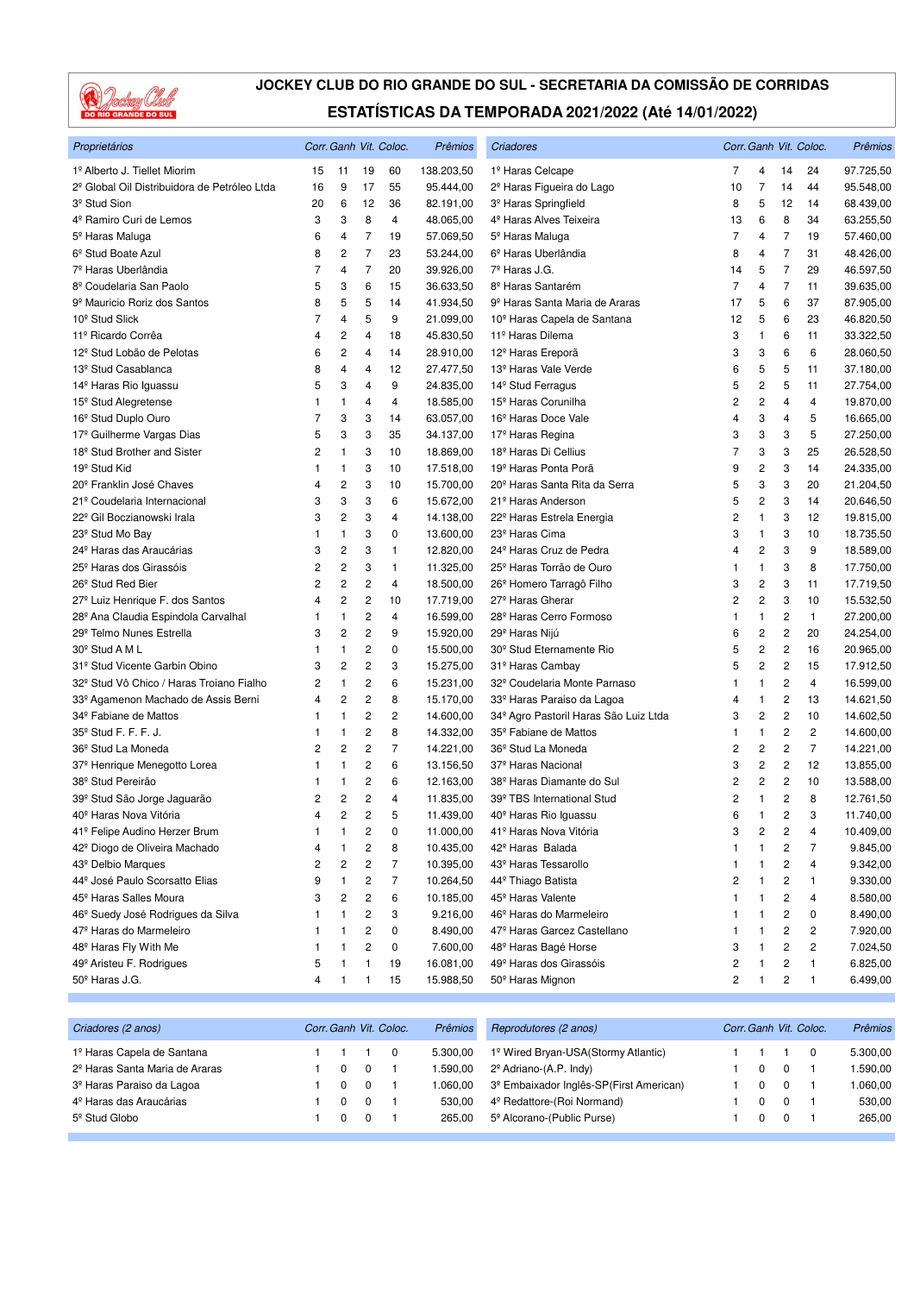

| Proprietários                                 |                |                         |                         | Corr. Ganh Vit. Coloc. | Prêmios    | Criadores                                         |                |                         |                | Corr. Ganh Vit. Coloc.  | Prêmios   |
|-----------------------------------------------|----------------|-------------------------|-------------------------|------------------------|------------|---------------------------------------------------|----------------|-------------------------|----------------|-------------------------|-----------|
| 1º Alberto J. Tiellet Miorim                  | 15             | 11                      | 19                      | 60                     | 138.203,50 | 1º Haras Celcape                                  | 7              | 4                       | 14             | 24                      | 97.725,50 |
| 2º Global Oil Distribuidora de Petróleo Ltda  | 16             | 9                       | 17                      | 55                     | 95.444,00  | 2 <sup>º</sup> Haras Figueira do Lago             | 10             | 7                       | 14             | 44                      | 95.548,00 |
| 3 <sup>º</sup> Stud Sion                      | 20             | 6                       | 12                      | 36                     | 82.191,00  | 3 <sup>º</sup> Haras Springfield                  | 8              | 5                       | 12             | 14                      | 68.439,00 |
| 4º Ramiro Curi de Lemos                       | 3              | 3                       | 8                       | 4                      | 48.065,00  | 4 <sup>º</sup> Haras Alves Teixeira               | 13             | 6                       | 8              | 34                      | 63.255,50 |
| 5 <sup>°</sup> Haras Maluga                   | 6              | 4                       | $\overline{7}$          | 19                     | 57.069,50  | 5º Haras Maluga                                   | 7              | $\overline{4}$          | 7              | 19                      | 57.460,00 |
| 6 <sup>°</sup> Stud Boate Azul                | 8              | $\overline{c}$          | $\overline{7}$          | 23                     | 53.244,00  | 6 <sup>º</sup> Haras Uberlândia                   | 8              | 4                       | 7              | 31                      | 48.426,00 |
| 7 <sup>º</sup> Haras Uberlândia               | 7              | $\overline{4}$          | $\overline{7}$          | 20                     | 39.926,00  | 7º Haras J.G.                                     | 14             | 5                       | $\overline{7}$ | 29                      | 46.597,50 |
| 8º Coudelaria San Paolo                       | 5              | 3                       | 6                       | 15                     | 36.633,50  | 8 <sup>º</sup> Haras Santarém                     | 7              | 4                       | $\overline{7}$ | 11                      | 39.635,00 |
| 9 <sup>º</sup> Mauricio Roriz dos Santos      | 8              | 5                       | 5                       | 14                     | 41.934,50  | 9 <sup>º</sup> Haras Santa Maria de Araras        | 17             | 5                       | 6              | 37                      | 87.905,00 |
| 10 <sup>°</sup> Stud Slick                    | $\overline{7}$ | 4                       | 5                       | 9                      | 21.099,00  | 10 <sup>°</sup> Haras Capela de Santana           | 12             | 5                       | 6              | 23                      | 46.820,50 |
| 11º Ricardo Corrêa                            | 4              | $\overline{\mathbf{c}}$ | 4                       | 18                     | 45.830,50  | 11º Haras Dilema                                  | 3              | 1                       | 6              | 11                      | 33.322,50 |
| 12 <sup>º</sup> Stud Lobão de Pelotas         | 6              | $\overline{c}$          | $\overline{4}$          | 14                     | 28.910,00  | 12 <sup>°</sup> Haras Ereporã                     | 3              | 3                       | 6              | 6                       | 28.060,50 |
| 13 <sup>°</sup> Stud Casablanca               | 8              | 4                       | 4                       | 12                     | 27.477,50  | 13 <sup>º</sup> Haras Vale Verde                  | 6              | 5                       | 5              | 11                      | 37.180,00 |
| 14 <sup>º</sup> Haras Rio Iguassu             | 5              | 3                       | $\overline{4}$          | 9                      | 24.835,00  | 14 <sup>°</sup> Stud Ferragus                     | 5              | $\overline{c}$          | 5              | 11                      | 27.754,00 |
| 15 <sup>°</sup> Stud Alegretense              | 1              | $\mathbf{1}$            | $\overline{4}$          | 4                      | 18.585,00  | 15 <sup>°</sup> Haras Corunilha                   | 2              | $\overline{c}$          | 4              | 4                       | 19.870,00 |
| 16 <sup>°</sup> Stud Duplo Ouro               | 7              | 3                       | 3                       | 14                     | 63.057,00  | 16 <sup>°</sup> Haras Doce Vale                   | 4              | 3                       | 4              | 5                       | 16.665,00 |
| 17 <sup>º</sup> Guilherme Vargas Dias         | 5              | 3                       | 3                       | 35                     | 34.137,00  | 17 <sup>º</sup> Haras Regina                      | 3              | 3                       | 3              | 5                       | 27.250,00 |
| 18 <sup>°</sup> Stud Brother and Sister       | 2              | 1                       | 3                       | 10                     | 18.869,00  | 18 <sup>º</sup> Haras Di Cellius                  | 7              | 3                       | 3              | 25                      | 26.528,50 |
| 19 <sup>°</sup> Stud Kid                      | 1              | $\mathbf{1}$            | 3                       | 10                     | 17.518,00  | 19 <sup>º</sup> Haras Ponta Porã                  | 9              | $\overline{\mathbf{c}}$ | 3              | 14                      | 24.335,00 |
| 20 <sup>°</sup> Franklin José Chaves          | 4              | 2                       | 3                       | 10                     | 15.700,00  | 20 <sup>°</sup> Haras Santa Rita da Serra         | 5              | 3                       | 3              | 20                      | 21.204,50 |
| 21º Coudelaria Internacional                  | 3              | 3                       | 3                       | 6                      | 15.672,00  | 21 <sup>º</sup> Haras Anderson                    | 5              | $\overline{c}$          | 3              | 14                      | 20.646,50 |
| 22 <sup>°</sup> Gil Boczianowski Irala        | 3              | $\overline{c}$          | 3                       | 4                      | 14.138,00  | 22º Haras Estrela Energia                         | $\overline{c}$ | $\mathbf{1}$            | 3              | 12                      | 19.815,00 |
| 23 <sup>°</sup> Stud Mo Bay                   | 1              | $\mathbf{1}$            | 3                       | 0                      | 13.600,00  | 23 <sup>º</sup> Haras Cima                        | 3              | 1                       | 3              | 10                      | 18.735,50 |
| 24 <sup>°</sup> Haras das Araucárias          | 3              | $\overline{\mathbf{c}}$ | 3                       | 1                      | 12.820,00  | 24 <sup>°</sup> Haras Cruz de Pedra               | 4              | $\overline{\mathbf{c}}$ | 3              | 9                       | 18.589,00 |
| 25 <sup>°</sup> Haras dos Girassóis           | 2              | $\overline{c}$          | 3                       | 1                      | 11.325,00  | 25 <sup>°</sup> Haras Torrão de Ouro              | 1              | $\mathbf{1}$            | 3              | 8                       | 17.750,00 |
| 26 <sup>°</sup> Stud Red Bier                 | 2              | $\overline{c}$          | $\overline{c}$          | 4                      | 18.500,00  | 26 <sup>°</sup> Homero Tarragô Filho              | 3              | $\overline{\mathbf{c}}$ | 3              | 11                      | 17.719,50 |
| 27º Luiz Henrique F. dos Santos               | 4              | 2                       | $\overline{c}$          | 10                     | 17.719,00  | 27 <sup>°</sup> Haras Gherar                      | 2              | $\overline{c}$          | 3              | 10                      | 15.532,50 |
| 28º Ana Claudia Espindola Carvalhal           | 1              | 1                       | 2                       | 4                      | 16.599,00  | 28 <sup>º</sup> Haras Cerro Formoso               | 1              | 1                       | 2              | $\mathbf{1}$            | 27.200,00 |
| 29º Telmo Nunes Estrella                      | 3              | $\overline{c}$          | $\overline{c}$          | 9                      | 15.920,00  | 29º Haras Nijú                                    | 6              | $\overline{c}$          | 2              | 20                      | 24.254,00 |
| 30 <sup>°</sup> Stud A M L                    | 1              | $\mathbf{1}$            | $\overline{\mathbf{c}}$ | 0                      | 15.500,00  | 30 <sup>°</sup> Stud Eternamente Rio              | 5              | $\overline{c}$          | $\overline{c}$ | 16                      | 20.965,00 |
| 31º Stud Vicente Garbin Obino                 | 3              | $\overline{\mathbf{c}}$ | $\overline{\mathbf{c}}$ | 3                      | 15.275,00  | 31º Haras Cambay                                  | 5              | $\overline{c}$          | 2              | 15                      | 17.912,50 |
| 32º Stud Vô Chico / Haras Troiano Fialho      | 2              | $\mathbf{1}$            | 2                       | 6                      | 15.231,00  | 32º Coudelaria Monte Parnaso                      | 1              | $\mathbf{1}$            | 2              | 4                       | 16.599,00 |
| 33º Agamenon Machado de Assis Berni           | 4              | 2                       | 2                       | 8                      | 15.170,00  | 33º Haras Paraiso da Lagoa                        | 4              | 1                       | 2              | 13                      | 14.621,50 |
| 34 <sup>°</sup> Fabiane de Mattos             | 1              | 1                       | 2                       | 2                      | 14.600,00  | 34 <sup>º</sup> Agro Pastoril Haras São Luiz Ltda | 3              | $\overline{c}$          | 2              | 10                      | 14.602,50 |
| 35 <sup>°</sup> Stud F. F. F. J.              | 1              | $\mathbf{1}$            | $\overline{c}$          | 8                      | 14.332,00  | 35 <sup>°</sup> Fabiane de Mattos                 | 1              | $\mathbf{1}$            | 2              | $\overline{\mathbf{c}}$ | 14.600,00 |
| 36 <sup>°</sup> Stud La Moneda                | 2              | $\overline{c}$          | $\overline{c}$          | $\overline{7}$         | 14.221,00  | 36 <sup>°</sup> Stud La Moneda                    | 2              | 2                       | 2              | $\overline{7}$          | 14.221,00 |
| 37 <sup>°</sup> Henrique Menegotto Lorea      | 1              | $\mathbf{1}$            | $\overline{c}$          | 6                      | 13.156,50  | 37 <sup>º</sup> Haras Nacional                    | 3              | $\overline{c}$          | $\overline{c}$ | 12                      | 13.855,00 |
| 38 <sup>°</sup> Stud Pereirão                 | 1              | 1                       | 2                       | 6                      | 12.163,00  | 38º Haras Diamante do Sul                         | 2              | $\overline{c}$          | 2              | 10                      | 13.588,00 |
| 39 <sup>°</sup> Stud São Jorge Jaguarão       | 2              | $\overline{c}$          | 2                       | 4                      | 11.835,00  | 39º TBS International Stud                        | 2              | $\mathbf{1}$            | 2              | 8                       | 12.761,50 |
| 40 <sup>°</sup> Haras Nova Vitória            | $\overline{4}$ | $\overline{2}$          | $\overline{2}$          | 5                      | 11.439,00  | 40 <sup>°</sup> Haras Rio Iguassu                 | 6              | $\mathbf{1}$            | $\overline{2}$ | 3                       | 11.740,00 |
| 41º Felipe Audino Herzer Brum                 | 1              | 1                       | $\overline{\mathbf{c}}$ | 0                      | 11.000,00  | 41º Haras Nova Vitória                            | 3              | 2                       | 2              | 4                       | 10.409,00 |
| 42º Diogo de Oliveira Machado                 | 4              | 1                       | $\overline{\mathbf{c}}$ | 8                      | 10.435,00  | 42º Haras Balada                                  | 1              | 1                       | 2              | 7                       | 9.845,00  |
| 43º Delbio Marques                            | 2              | 2                       | $\overline{\mathbf{c}}$ | $\overline{7}$         | 10.395,00  | 43º Haras Tessarollo                              | 1              | 1                       | 2              | 4                       | 9.342,00  |
| 44 <sup>º</sup> José Paulo Scorsatto Elias    | 9              | 1                       | 2                       | 7                      | 10.264,50  | 44º Thiago Batista                                | 2              | 1                       | 2              | 1                       | 9.330,00  |
| 45 <sup>°</sup> Haras Salles Moura            | 3              | 2                       | 2                       | 6                      | 10.185,00  | 45 <sup>°</sup> Haras Valente                     | 1              | 1                       | 2              | 4                       | 8.580,00  |
| 46 <sup>°</sup> Suedy José Rodrigues da Silva | 1              | 1                       | 2                       | 3                      | 9.216,00   | 46 <sup>°</sup> Haras do Marmeleiro               | 1              | 1                       | 2              | 0                       | 8.490,00  |
| 47º Haras do Marmeleiro                       | 1              | 1                       | 2                       | 0                      | 8.490,00   | 47º Haras Garcez Castellano                       | 1              | 1                       | 2              | 2                       | 7.920,00  |
| 48 <sup>°</sup> Haras Fly With Me             | 1              | 1                       | 2                       | 0                      | 7.600,00   | 48 <sup>°</sup> Haras Bagé Horse                  | 3              | 1                       | 2              | 2                       | 7.024,50  |
| 49º Aristeu F. Rodrigues                      | 5              | 1                       | 1                       | 19                     | 16.081,00  | 49º Haras dos Girassóis                           | 2              | 1                       | 2              | 1                       | 6.825,00  |
| 50 <sup>°</sup> Haras J.G.                    | 4              | $\mathbf{1}$            | 1                       | 15                     | 15.988,50  | 50 <sup>°</sup> Haras Mignon                      | 2              | 1                       | 2              | $\mathbf{1}$            | 6.499,00  |

| Corr. Ganh Vit. Coloc.<br>Criadores (2 anos) |  |  | Prêmios | Reprodutores (2 anos) | Corr. Ganh Vit. Coloc.                              | <b>Prêmios</b> |  |  |          |
|----------------------------------------------|--|--|---------|-----------------------|-----------------------------------------------------|----------------|--|--|----------|
| 1º Haras Capela de Santana                   |  |  |         | 5.300.00              | 1º Wired Bryan-USA(Stormy Atlantic)                 |                |  |  | 5.300,00 |
| 2 <sup>º</sup> Haras Santa Maria de Araras   |  |  |         | 1.590.00              | $2^{\circ}$ Adriano-(A.P. Indy)                     |                |  |  | 1.590.00 |
| 3º Haras Paraiso da Lagoa                    |  |  |         | 1.060.00              | 3 <sup>º</sup> Embaixador Inglês-SP(First American) |                |  |  | 1.060,00 |
| 4 <sup>º</sup> Haras das Araucárias          |  |  |         | 530.00                | 4 <sup>°</sup> Redattore-(Roi Normand)              |                |  |  | 530.00   |
| 5 <sup>°</sup> Stud Globo                    |  |  |         | 265.00                | 5º Alcorano-(Public Purse)                          |                |  |  | 265.00   |